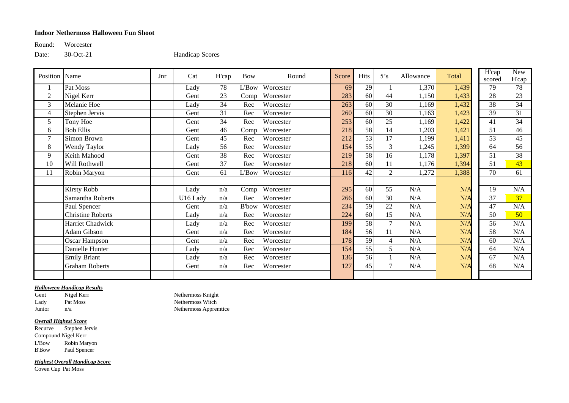## **Indoor Nethermoss Halloween Fun Shoot**

Round: Worcester

Date: 30-Oct-21 Handicap Scores

| Position       | Name                     | Jnr | Cat      | H'cap | <b>Bow</b>    | Round     | Score | Hits            | 5's            | Allowance | Total | $\overline{H}$ cap<br>scored | <b>New</b><br>H'cap |
|----------------|--------------------------|-----|----------|-------|---------------|-----------|-------|-----------------|----------------|-----------|-------|------------------------------|---------------------|
|                | Pat Moss                 |     | Lady     | 78    | L'Bow         | Worcester | 69    | 29              |                | 1,370     | 1,439 | 79                           | 78                  |
| $\overline{2}$ | Nigel Kerr               |     | Gent     | 23    | Comp          | Worcester | 283   | 60              | 44             | 1,150     | 1,433 | 28                           | 23                  |
| 3              | Melanie Hoe              |     | Lady     | 34    | Rec           | Worcester | 263   | 60              | 30             | 1,169     | 1,432 | 38                           | 34                  |
| 4              | Stephen Jervis           |     | Gent     | 31    | Rec           | Worcester | 260   | 60              | 30             | 1,163     | 1,423 | 39                           | 31                  |
| 5              | Tony Hoe                 |     | Gent     | 34    | Rec           | Worcester | 253   | 60              | 25             | 1,169     | 1,422 | 41                           | 34                  |
| 6              | <b>Bob Ellis</b>         |     | Gent     | 46    | Comp          | Worcester | 218   | 58              | 14             | 1,203     | 1,421 | 51                           | 46                  |
| $\overline{7}$ | Simon Brown              |     | Gent     | 45    | Rec           | Worcester | 212   | 53              | 17             | 1,199     | 1,411 | 53                           | 45                  |
| 8              | Wendy Taylor             |     | Lady     | 56    | Rec           | Worcester | 154   | $\overline{55}$ | 3              | 1,245     | 1,399 | 64                           | 56                  |
| 9              | Keith Mahood             |     | Gent     | 38    | Rec           | Worcester | 219   | $\overline{58}$ | 16             | 1,178     | 1,397 | 51                           | 38                  |
| 10             | Will Rothwell            |     | Gent     | 37    | Rec           | Worcester | 218   | 60              | 11             | 1,176     | 1,394 | 51                           | 43                  |
| 11             | Robin Maryon             |     | Gent     | 61    | L'Bow         | Worcester | 116   | 42              | 2              | 1,272     | 1,388 | 70                           | 61                  |
|                |                          |     |          |       |               |           |       |                 |                |           |       |                              |                     |
|                | <b>Kirsty Robb</b>       |     | Lady     | n/a   | Comp          | Worcester | 295   | 60              | 55             | N/A       | N/A   | 19                           | N/A                 |
|                | Samantha Roberts         |     | U16 Lady | n/a   | Rec           | Worcester | 266   | 60              | 30             | N/A       | N/A   | 37                           | 37                  |
|                | Paul Spencer             |     | Gent     | n/a   | <b>B</b> 'bow | Worcester | 234   | 59              | $22\,$         | N/A       | N/A   | 47                           | N/A                 |
|                | <b>Christine Roberts</b> |     | Lady     | n/a   | Rec           | Worcester | 224   | 60              | 15             | N/A       | N/A   | 50                           | 50                  |
|                | Harriet Chadwick         |     | Lady     | n/a   | Rec           | Worcester | 199   | 58              | $\tau$         | N/A       | N/A   | 56                           | N/A                 |
|                | Adam Gibson              |     | Gent     | n/a   | Rec           | Worcester | 184   | 56              | 11             | N/A       | N/A   | 58                           | N/A                 |
|                | Oscar Hampson            |     | Gent     | n/a   | Rec           | Worcester | 178   | 59              | $\overline{4}$ | N/A       | N/A   | 60                           | N/A                 |
|                | Danielle Hunter          |     | Lady     | n/a   | Rec           | Worcester | 154   | $\overline{55}$ | 5 <sub>1</sub> | N/A       | N/A   | 64                           | N/A                 |
|                | <b>Emily Briant</b>      |     | Lady     | n/a   | Rec           | Worcester | 136   | 56              |                | N/A       | N/A   | 67                           | N/A                 |
|                | <b>Graham Roberts</b>    |     | Gent     | n/a   | Rec           | Worcester | 127   | 45              | $\overline{ }$ | N/A       | N/A   | 68                           | N/A                 |
|                |                          |     |          |       |               |           |       |                 |                |           |       |                              |                     |

## *Halloween Handicap Results*

Gent Nigel Kerr Nethermoss Knight Lady Pat Moss Nethermoss Witch<br>
Junior n/a<br>
Nethermoss Appren Junior n/a Nethermoss Appremtice

## *Overall Highest Score*

Recurve Stephen Jervis Compound Nigel Kerr L'Bow Robin Maryon B'Bow Paul Spencer

*Highest Overall Handicap Score*

Coven Cup Pat Moss